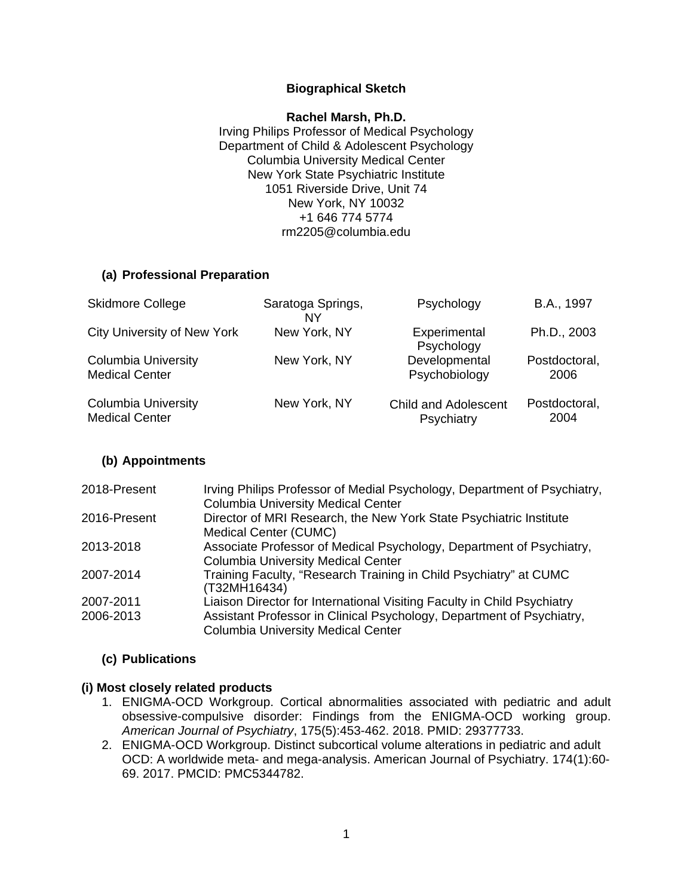### **Biographical Sketch**

**Rachel Marsh, Ph.D.** Irving Philips Professor of Medical Psychology Department of Child & Adolescent Psychology Columbia University Medical Center New York State Psychiatric Institute 1051 Riverside Drive, Unit 74 New York, NY 10032 +1 646 774 5774 [rm2205@columbia.edu](mailto:rm2205@columbia.edu)

### **(a) Professional Preparation**

| <b>Skidmore College</b>            | Saratoga Springs,<br>NY | Psychology                  | B.A., 1997    |
|------------------------------------|-------------------------|-----------------------------|---------------|
| <b>City University of New York</b> | New York, NY            | Experimental<br>Psychology  | Ph.D., 2003   |
| <b>Columbia University</b>         | New York, NY            | Developmental               | Postdoctoral, |
| <b>Medical Center</b>              |                         | Psychobiology               | 2006          |
| <b>Columbia University</b>         | New York, NY            | <b>Child and Adolescent</b> | Postdoctoral, |
| <b>Medical Center</b>              |                         | Psychiatry                  | 2004          |

### **(b) Appointments**

| 2018-Present | Irving Philips Professor of Medial Psychology, Department of Psychiatry,<br><b>Columbia University Medical Center</b> |
|--------------|-----------------------------------------------------------------------------------------------------------------------|
| 2016-Present | Director of MRI Research, the New York State Psychiatric Institute<br>Medical Center (CUMC)                           |
| 2013-2018    | Associate Professor of Medical Psychology, Department of Psychiatry,<br><b>Columbia University Medical Center</b>     |
| 2007-2014    | Training Faculty, "Research Training in Child Psychiatry" at CUMC<br>(T32MH16434)                                     |
| 2007-2011    | Liaison Director for International Visiting Faculty in Child Psychiatry                                               |
| 2006-2013    | Assistant Professor in Clinical Psychology, Department of Psychiatry,<br><b>Columbia University Medical Center</b>    |

### **(c) Publications**

#### **(i) Most closely related products**

- 1. ENIGMA-OCD Workgroup. Cortical abnormalities associated with pediatric and adult obsessive-compulsive disorder: Findings from the ENIGMA-OCD working group. *American Journal of Psychiatry*, 175(5):453-462. 2018. PMID: 29377733.
- 2. ENIGMA-OCD Workgroup. Distinct subcortical volume alterations in pediatric and adult OCD: A worldwide meta- and mega-analysis. American Journal of Psychiatry. 174(1):60- 69. 2017. PMCID: PMC5344782.